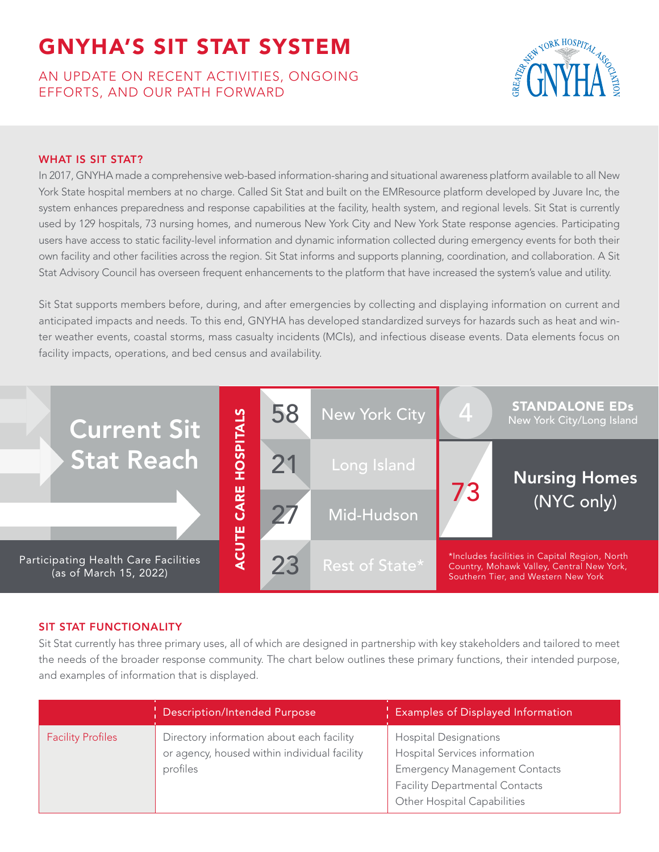# AN UPDATE ON RECENT ACTIVITIES, ONGOING EFFORTS, AND OUR PATH FORWARD



# WHAT IS SIT STAT?

In 2017, GNYHA made a comprehensive web-based information-sharing and situational awareness platform available to all New York State hospital members at no charge. Called Sit Stat and built on the EMResource platform developed by Juvare Inc, the system enhances preparedness and response capabilities at the facility, health system, and regional levels. Sit Stat is currently used by 129 hospitals, 73 nursing homes, and numerous New York City and New York State response agencies. Participating users have access to static facility-level information and dynamic information collected during emergency events for both their own facility and other facilities across the region. Sit Stat informs and supports planning, coordination, and collaboration. A Sit Stat Advisory Council has overseen frequent enhancements to the platform that have increased the system's value and utility.

Sit Stat supports members before, during, and after emergencies by collecting and displaying information on current and anticipated impacts and needs. To this end, GNYHA has developed standardized surveys for hazards such as heat and winter weather events, coastal storms, mass casualty incidents (MCIs), and infectious disease events. Data elements focus on facility impacts, operations, and bed census and availability.



# SIT STAT FUNCTIONALITY

Sit Stat currently has three primary uses, all of which are designed in partnership with key stakeholders and tailored to meet the needs of the broader response community. The chart below outlines these primary functions, their intended purpose, and examples of information that is displayed.

|                          | <b>Description/Intended Purpose</b>                                                                   | <b>Examples of Displayed Information</b>                                                                                                                                      |
|--------------------------|-------------------------------------------------------------------------------------------------------|-------------------------------------------------------------------------------------------------------------------------------------------------------------------------------|
| <b>Facility Profiles</b> | Directory information about each facility<br>or agency, housed within individual facility<br>profiles | <b>Hospital Designations</b><br>Hospital Services information<br><b>Emergency Management Contacts</b><br><b>Facility Departmental Contacts</b><br>Other Hospital Capabilities |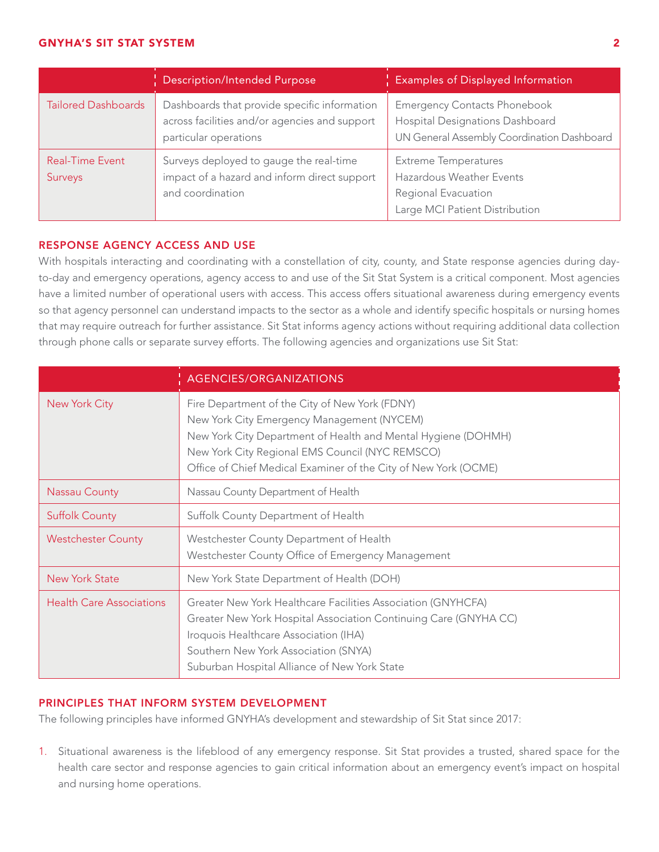|                                   | Description/Intended Purpose                                                                                           | <b>Examples of Displayed Information</b>                                                                             |
|-----------------------------------|------------------------------------------------------------------------------------------------------------------------|----------------------------------------------------------------------------------------------------------------------|
| <b>Tailored Dashboards</b>        | Dashboards that provide specific information<br>across facilities and/or agencies and support<br>particular operations | <b>Emergency Contacts Phonebook</b><br>Hospital Designations Dashboard<br>UN General Assembly Coordination Dashboard |
| <b>Real-Time Event</b><br>Surveys | Surveys deployed to gauge the real-time<br>impact of a hazard and inform direct support<br>and coordination            | <b>Extreme Temperatures</b><br>Hazardous Weather Events<br>Regional Evacuation<br>Large MCI Patient Distribution     |

# RESPONSE AGENCY ACCESS AND USE

With hospitals interacting and coordinating with a constellation of city, county, and State response agencies during dayto-day and emergency operations, agency access to and use of the Sit Stat System is a critical component. Most agencies have a limited number of operational users with access. This access offers situational awareness during emergency events so that agency personnel can understand impacts to the sector as a whole and identify specific hospitals or nursing homes that may require outreach for further assistance. Sit Stat informs agency actions without requiring additional data collection through phone calls or separate survey efforts. The following agencies and organizations use Sit Stat:

|                                 | AGENCIES/ORGANIZATIONS                                                                                                                                                                                                                                                              |
|---------------------------------|-------------------------------------------------------------------------------------------------------------------------------------------------------------------------------------------------------------------------------------------------------------------------------------|
| New York City                   | Fire Department of the City of New York (FDNY)<br>New York City Emergency Management (NYCEM)<br>New York City Department of Health and Mental Hygiene (DOHMH)<br>New York City Regional EMS Council (NYC REMSCO)<br>Office of Chief Medical Examiner of the City of New York (OCME) |
| <b>Nassau County</b>            | Nassau County Department of Health                                                                                                                                                                                                                                                  |
| <b>Suffolk County</b>           | Suffolk County Department of Health                                                                                                                                                                                                                                                 |
| <b>Westchester County</b>       | Westchester County Department of Health<br>Westchester County Office of Emergency Management                                                                                                                                                                                        |
| <b>New York State</b>           | New York State Department of Health (DOH)                                                                                                                                                                                                                                           |
| <b>Health Care Associations</b> | Greater New York Healthcare Facilities Association (GNYHCFA)<br>Greater New York Hospital Association Continuing Care (GNYHA CC)<br>Iroquois Healthcare Association (IHA)<br>Southern New York Association (SNYA)<br>Suburban Hospital Alliance of New York State                   |

# PRINCIPLES THAT INFORM SYSTEM DEVELOPMENT

The following principles have informed GNYHA's development and stewardship of Sit Stat since 2017:

1. Situational awareness is the lifeblood of any emergency response. Sit Stat provides a trusted, shared space for the health care sector and response agencies to gain critical information about an emergency event's impact on hospital and nursing home operations.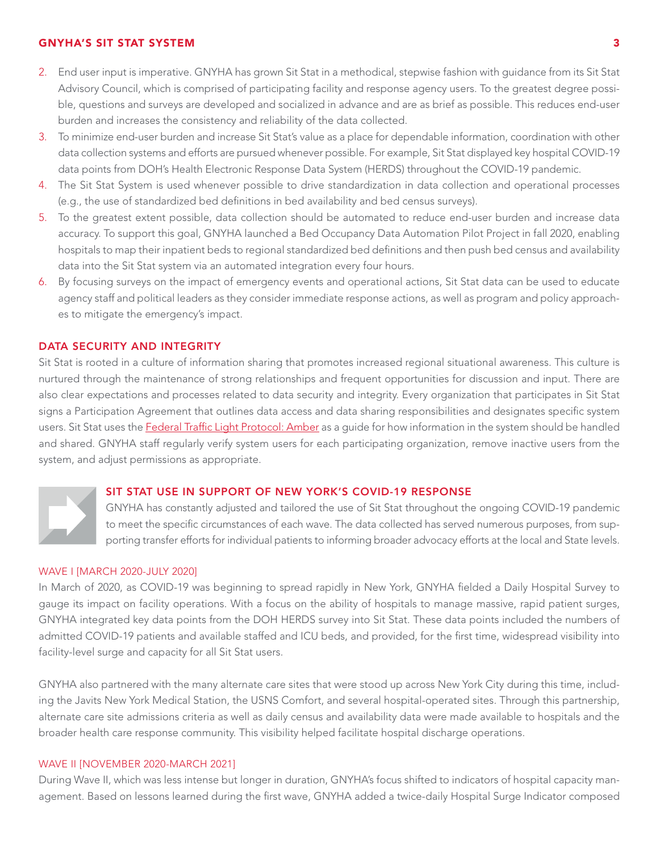- 2. End user input is imperative. GNYHA has grown Sit Stat in a methodical, stepwise fashion with guidance from its Sit Stat Advisory Council, which is comprised of participating facility and response agency users. To the greatest degree possible, questions and surveys are developed and socialized in advance and are as brief as possible. This reduces end-user burden and increases the consistency and reliability of the data collected.
- 3. To minimize end-user burden and increase Sit Stat's value as a place for dependable information, coordination with other data collection systems and efforts are pursued whenever possible. For example, Sit Stat displayed key hospital COVID-19 data points from DOH's Health Electronic Response Data System (HERDS) throughout the COVID-19 pandemic.
- 4. The Sit Stat System is used whenever possible to drive standardization in data collection and operational processes (e.g., the use of standardized bed definitions in bed availability and bed census surveys).
- 5. To the greatest extent possible, data collection should be automated to reduce end-user burden and increase data accuracy. To support this goal, GNYHA launched a Bed Occupancy Data Automation Pilot Project in fall 2020, enabling hospitals to map their inpatient beds to regional standardized bed definitions and then push bed census and availability data into the Sit Stat system via an automated integration every four hours.
- 6. By focusing surveys on the impact of emergency events and operational actions, Sit Stat data can be used to educate agency staff and political leaders as they consider immediate response actions, as well as program and policy approaches to mitigate the emergency's impact.

# DATA SECURITY AND INTEGRITY

Sit Stat is rooted in a culture of information sharing that promotes increased regional situational awareness. This culture is nurtured through the maintenance of strong relationships and frequent opportunities for discussion and input. There are also clear expectations and processes related to data security and integrity. Every organization that participates in Sit Stat signs a Participation Agreement that outlines data access and data sharing responsibilities and designates specific system users. Sit Stat uses the [Federal Traffic Light Protocol: Amber](https://www.cisa.gov/tlp) as a guide for how information in the system should be handled and shared. GNYHA staff regularly verify system users for each participating organization, remove inactive users from the system, and adjust permissions as appropriate.

#### SIT STAT USE IN SUPPORT OF NEW YORK'S COVID-19 RESPONSE

GNYHA has constantly adjusted and tailored the use of Sit Stat throughout the ongoing COVID-19 pandemic to meet the specific circumstances of each wave. The data collected has served numerous purposes, from supporting transfer efforts for individual patients to informing broader advocacy efforts at the local and State levels.

#### WAVE I [MARCH 2020-JULY 2020]

In March of 2020, as COVID-19 was beginning to spread rapidly in New York, GNYHA fielded a Daily Hospital Survey to gauge its impact on facility operations. With a focus on the ability of hospitals to manage massive, rapid patient surges, GNYHA integrated key data points from the DOH HERDS survey into Sit Stat. These data points included the numbers of admitted COVID-19 patients and available staffed and ICU beds, and provided, for the first time, widespread visibility into facility-level surge and capacity for all Sit Stat users.

GNYHA also partnered with the many alternate care sites that were stood up across New York City during this time, including the Javits New York Medical Station, the USNS Comfort, and several hospital-operated sites. Through this partnership, alternate care site admissions criteria as well as daily census and availability data were made available to hospitals and the broader health care response community. This visibility helped facilitate hospital discharge operations.

#### WAVE II [NOVEMBER 2020-MARCH 2021]

During Wave II, which was less intense but longer in duration, GNYHA's focus shifted to indicators of hospital capacity management. Based on lessons learned during the first wave, GNYHA added a twice-daily Hospital Surge Indicator composed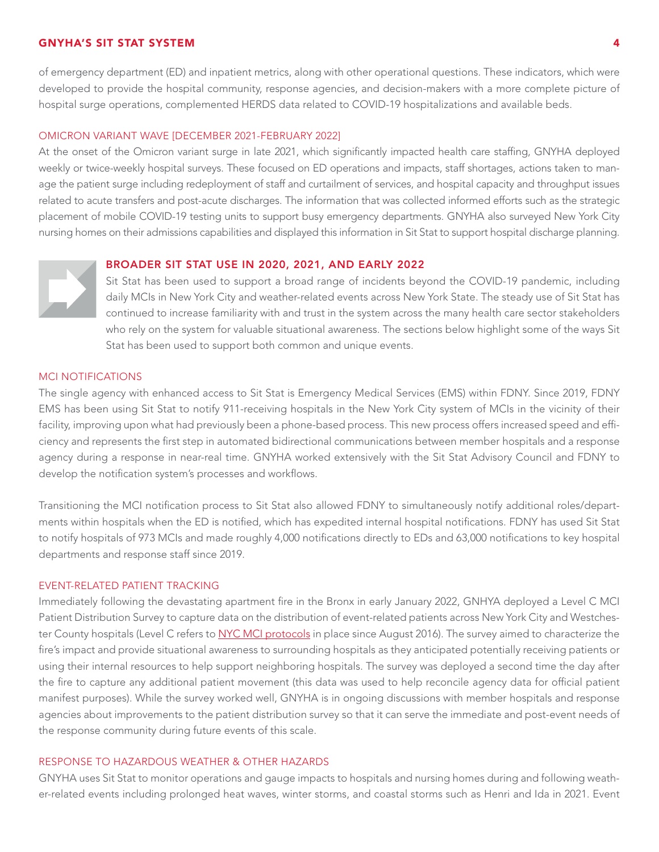of emergency department (ED) and inpatient metrics, along with other operational questions. These indicators, which were developed to provide the hospital community, response agencies, and decision-makers with a more complete picture of hospital surge operations, complemented HERDS data related to COVID-19 hospitalizations and available beds.

# OMICRON VARIANT WAVE [DECEMBER 2021-FEBRUARY 2022]

At the onset of the Omicron variant surge in late 2021, which significantly impacted health care staffing, GNYHA deployed weekly or twice-weekly hospital surveys. These focused on ED operations and impacts, staff shortages, actions taken to manage the patient surge including redeployment of staff and curtailment of services, and hospital capacity and throughput issues related to acute transfers and post-acute discharges. The information that was collected informed efforts such as the strategic placement of mobile COVID-19 testing units to support busy emergency departments. GNYHA also surveyed New York City nursing homes on their admissions capabilities and displayed this information in Sit Stat to support hospital discharge planning.

#### BROADER SIT STAT USE IN 2020, 2021, AND EARLY 2022

Sit Stat has been used to support a broad range of incidents beyond the COVID-19 pandemic, including daily MCIs in New York City and weather-related events across New York State. The steady use of Sit Stat has continued to increase familiarity with and trust in the system across the many health care sector stakeholders who rely on the system for valuable situational awareness. The sections below highlight some of the ways Sit Stat has been used to support both common and unique events.

#### MCI NOTIFICATIONS

The single agency with enhanced access to Sit Stat is Emergency Medical Services (EMS) within FDNY. Since 2019, FDNY EMS has been using Sit Stat to notify 911-receiving hospitals in the New York City system of MCIs in the vicinity of their facility, improving upon what had previously been a phone-based process. This new process offers increased speed and efficiency and represents the first step in automated bidirectional communications between member hospitals and a response agency during a response in near-real time. GNYHA worked extensively with the Sit Stat Advisory Council and FDNY to develop the notification system's processes and workflows.

Transitioning the MCI notification process to Sit Stat also allowed FDNY to simultaneously notify additional roles/departments within hospitals when the ED is notified, which has expedited internal hospital notifications. FDNY has used Sit Stat to notify hospitals of 973 MCIs and made roughly 4,000 notifications directly to EDs and 63,000 notifications to key hospital departments and response staff since 2019.

#### EVENT-RELATED PATIENT TRACKING

Immediately following the devastating apartment fire in the Bronx in early January 2022, GNHYA deployed a Level C MCI Patient Distribution Survey to capture data on the distribution of event-related patients across New York City and Westches-ter County hospitals (Level C refers to [NYC MCI protocols](https://www.gnyha.org/tool/ems-to-hospital-patient-transport-process-for-mass-casualty-incidents/) in place since August 2016). The survey aimed to characterize the fire's impact and provide situational awareness to surrounding hospitals as they anticipated potentially receiving patients or using their internal resources to help support neighboring hospitals. The survey was deployed a second time the day after the fire to capture any additional patient movement (this data was used to help reconcile agency data for official patient manifest purposes). While the survey worked well, GNYHA is in ongoing discussions with member hospitals and response agencies about improvements to the patient distribution survey so that it can serve the immediate and post-event needs of the response community during future events of this scale.

#### RESPONSE TO HAZARDOUS WEATHER & OTHER HAZARDS

GNYHA uses Sit Stat to monitor operations and gauge impacts to hospitals and nursing homes during and following weather-related events including prolonged heat waves, winter storms, and coastal storms such as Henri and Ida in 2021. Event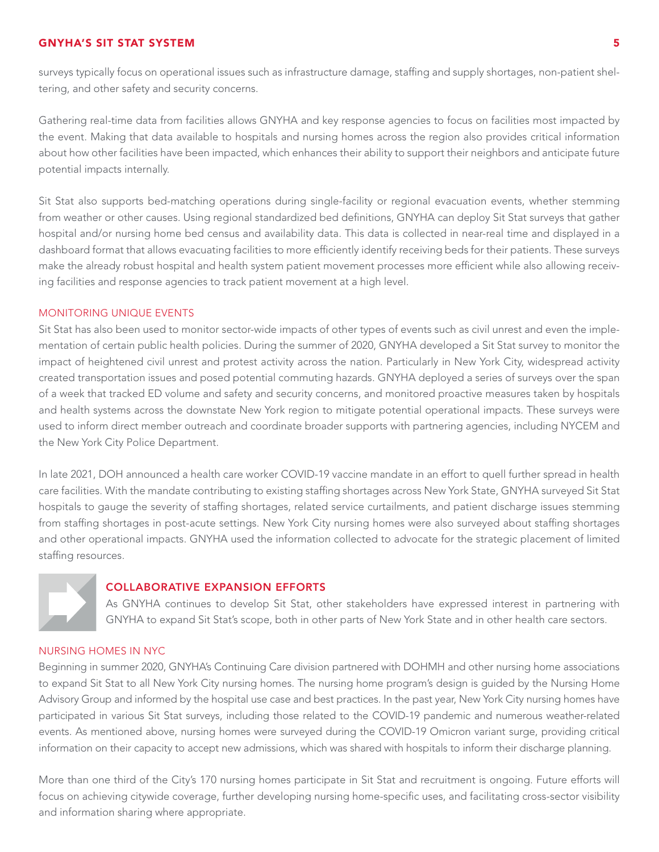surveys typically focus on operational issues such as infrastructure damage, staffing and supply shortages, non-patient sheltering, and other safety and security concerns.

Gathering real-time data from facilities allows GNYHA and key response agencies to focus on facilities most impacted by the event. Making that data available to hospitals and nursing homes across the region also provides critical information about how other facilities have been impacted, which enhances their ability to support their neighbors and anticipate future potential impacts internally.

Sit Stat also supports bed-matching operations during single-facility or regional evacuation events, whether stemming from weather or other causes. Using regional standardized bed definitions, GNYHA can deploy Sit Stat surveys that gather hospital and/or nursing home bed census and availability data. This data is collected in near-real time and displayed in a dashboard format that allows evacuating facilities to more efficiently identify receiving beds for their patients. These surveys make the already robust hospital and health system patient movement processes more efficient while also allowing receiving facilities and response agencies to track patient movement at a high level.

# MONITORING UNIQUE EVENTS

Sit Stat has also been used to monitor sector-wide impacts of other types of events such as civil unrest and even the implementation of certain public health policies. During the summer of 2020, GNYHA developed a Sit Stat survey to monitor the impact of heightened civil unrest and protest activity across the nation. Particularly in New York City, widespread activity created transportation issues and posed potential commuting hazards. GNYHA deployed a series of surveys over the span of a week that tracked ED volume and safety and security concerns, and monitored proactive measures taken by hospitals and health systems across the downstate New York region to mitigate potential operational impacts. These surveys were used to inform direct member outreach and coordinate broader supports with partnering agencies, including NYCEM and the New York City Police Department.

In late 2021, DOH announced a health care worker COVID-19 vaccine mandate in an effort to quell further spread in health care facilities. With the mandate contributing to existing staffing shortages across New York State, GNYHA surveyed Sit Stat hospitals to gauge the severity of staffing shortages, related service curtailments, and patient discharge issues stemming from staffing shortages in post-acute settings. New York City nursing homes were also surveyed about staffing shortages and other operational impacts. GNYHA used the information collected to advocate for the strategic placement of limited staffing resources.



# COLLABORATIVE EXPANSION EFFORTS

As GNYHA continues to develop Sit Stat, other stakeholders have expressed interest in partnering with GNYHA to expand Sit Stat's scope, both in other parts of New York State and in other health care sectors.

#### NURSING HOMES IN NYC

Beginning in summer 2020, GNYHA's Continuing Care division partnered with DOHMH and other nursing home associations to expand Sit Stat to all New York City nursing homes. The nursing home program's design is guided by the Nursing Home Advisory Group and informed by the hospital use case and best practices. In the past year, New York City nursing homes have participated in various Sit Stat surveys, including those related to the COVID-19 pandemic and numerous weather-related events. As mentioned above, nursing homes were surveyed during the COVID-19 Omicron variant surge, providing critical information on their capacity to accept new admissions, which was shared with hospitals to inform their discharge planning.

More than one third of the City's 170 nursing homes participate in Sit Stat and recruitment is ongoing. Future efforts will focus on achieving citywide coverage, further developing nursing home-specific uses, and facilitating cross-sector visibility and information sharing where appropriate.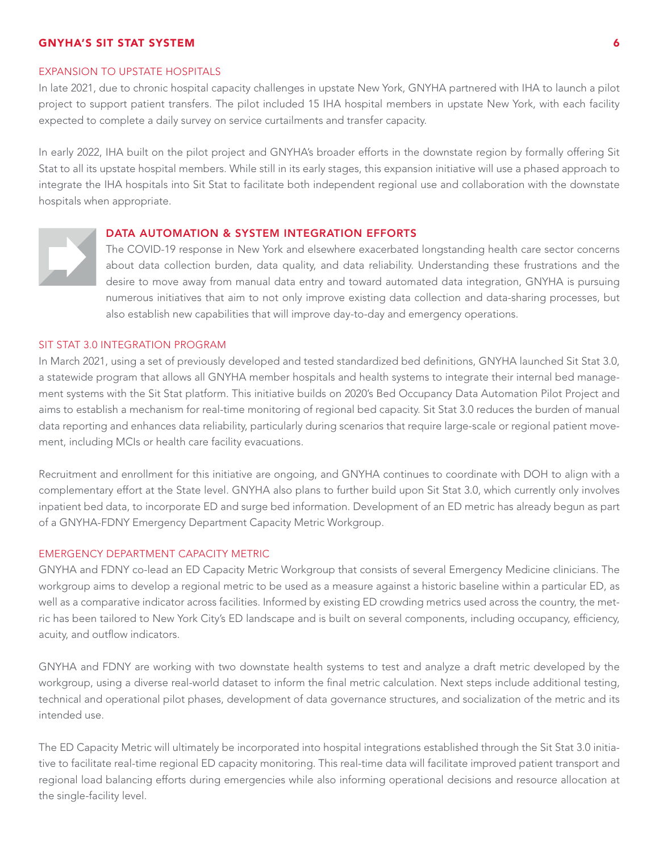#### EXPANSION TO UPSTATE HOSPITALS

In late 2021, due to chronic hospital capacity challenges in upstate New York, GNYHA partnered with IHA to launch a pilot project to support patient transfers. The pilot included 15 IHA hospital members in upstate New York, with each facility expected to complete a daily survey on service curtailments and transfer capacity.

In early 2022, IHA built on the pilot project and GNYHA's broader efforts in the downstate region by formally offering Sit Stat to all its upstate hospital members. While still in its early stages, this expansion initiative will use a phased approach to integrate the IHA hospitals into Sit Stat to facilitate both independent regional use and collaboration with the downstate hospitals when appropriate.

# DATA AUTOMATION & SYSTEM INTEGRATION EFFORTS



The COVID-19 response in New York and elsewhere exacerbated longstanding health care sector concerns about data collection burden, data quality, and data reliability. Understanding these frustrations and the desire to move away from manual data entry and toward automated data integration, GNYHA is pursuing numerous initiatives that aim to not only improve existing data collection and data-sharing processes, but also establish new capabilities that will improve day-to-day and emergency operations.

# SIT STAT 3.0 INTEGRATION PROGRAM

In March 2021, using a set of previously developed and tested standardized bed definitions, GNYHA launched Sit Stat 3.0, a statewide program that allows all GNYHA member hospitals and health systems to integrate their internal bed management systems with the Sit Stat platform. This initiative builds on 2020's Bed Occupancy Data Automation Pilot Project and aims to establish a mechanism for real-time monitoring of regional bed capacity. Sit Stat 3.0 reduces the burden of manual data reporting and enhances data reliability, particularly during scenarios that require large-scale or regional patient movement, including MCIs or health care facility evacuations.

Recruitment and enrollment for this initiative are ongoing, and GNYHA continues to coordinate with DOH to align with a complementary effort at the State level. GNYHA also plans to further build upon Sit Stat 3.0, which currently only involves inpatient bed data, to incorporate ED and surge bed information. Development of an ED metric has already begun as part of a GNYHA-FDNY Emergency Department Capacity Metric Workgroup.

# EMERGENCY DEPARTMENT CAPACITY METRIC

GNYHA and FDNY co-lead an ED Capacity Metric Workgroup that consists of several Emergency Medicine clinicians. The workgroup aims to develop a regional metric to be used as a measure against a historic baseline within a particular ED, as well as a comparative indicator across facilities. Informed by existing ED crowding metrics used across the country, the metric has been tailored to New York City's ED landscape and is built on several components, including occupancy, efficiency, acuity, and outflow indicators.

GNYHA and FDNY are working with two downstate health systems to test and analyze a draft metric developed by the workgroup, using a diverse real-world dataset to inform the final metric calculation. Next steps include additional testing, technical and operational pilot phases, development of data governance structures, and socialization of the metric and its intended use.

The ED Capacity Metric will ultimately be incorporated into hospital integrations established through the Sit Stat 3.0 initiative to facilitate real-time regional ED capacity monitoring. This real-time data will facilitate improved patient transport and regional load balancing efforts during emergencies while also informing operational decisions and resource allocation at the single-facility level.